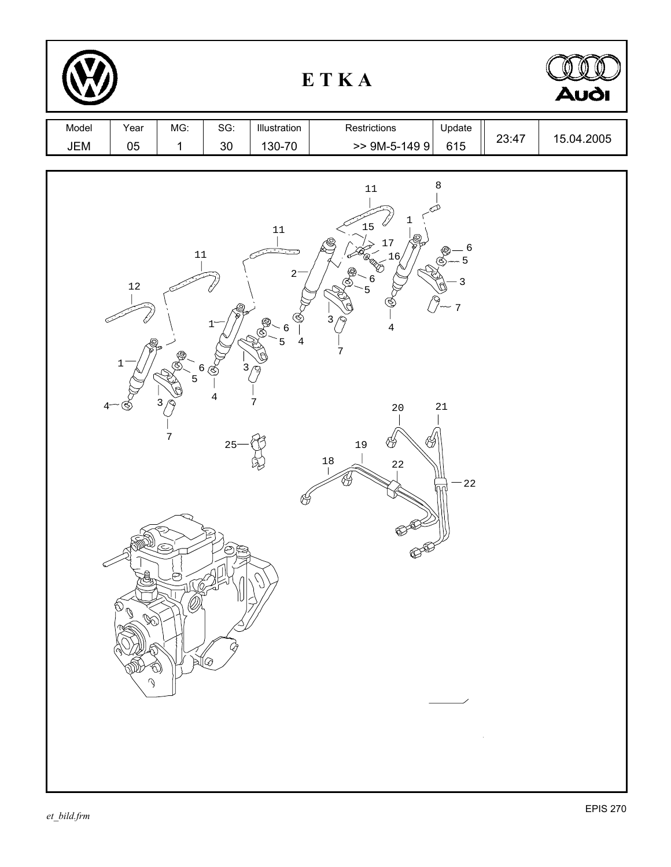| ETKA         |                                                                                                                  |                                                                                                             |                                              |                                                                       |                                                                                                                                                                                           |                                                                     |       | <b>Audi</b> |
|--------------|------------------------------------------------------------------------------------------------------------------|-------------------------------------------------------------------------------------------------------------|----------------------------------------------|-----------------------------------------------------------------------|-------------------------------------------------------------------------------------------------------------------------------------------------------------------------------------------|---------------------------------------------------------------------|-------|-------------|
| Model<br>JEM | Year<br>$05\,$                                                                                                   | MG:<br>$\mathbf{1}$                                                                                         | SG:<br>$30\,$                                | Illustration<br>130-70                                                | Restrictions<br>$> 9M-5-1499$                                                                                                                                                             | Update<br>615                                                       | 23:47 | 15.04.2005  |
|              | $12\,$<br>$1\,$<br>$4-$<br>᠑<br>S.<br>、<br>西<br>$\mathbb{Q}^{\tilde{\mathcal{Q}}}$<br>$\otimes$<br>$\mathcal{O}$ | $11\,$<br>5<br>3<br>$\overline{7}$<br>$\circledcirc$<br>$\odot$<br>to<br>Or<br>$\bigcircledx$<br>)ই∫⊗<br>O) | T.<br>6 ල්<br>3<br>$\bf 4$<br>25<br>ÓÞ<br>Čõ | $11\,$<br>$2-$<br>6<br>$\overline{4}$<br>5<br>ข<br>7<br>$\mathcal{O}$ | 8<br>$11\,$<br>ı<br>$15\,$<br>$\langle$<br>$17$<br>.16<br>H<br>$\begin{array}{c} \cdot 6 \\ 5 \end{array}$<br>3<br>4<br>7<br>$21\,$<br>$20\,$<br>₩<br>19<br>18<br>$2\sqrt{2}$<br>84<br>ନ∕ | $\epsilon$<br>5<br>$\mathsf 3$<br>$\overline{7}$<br>$-22$<br>$\sim$ |       |             |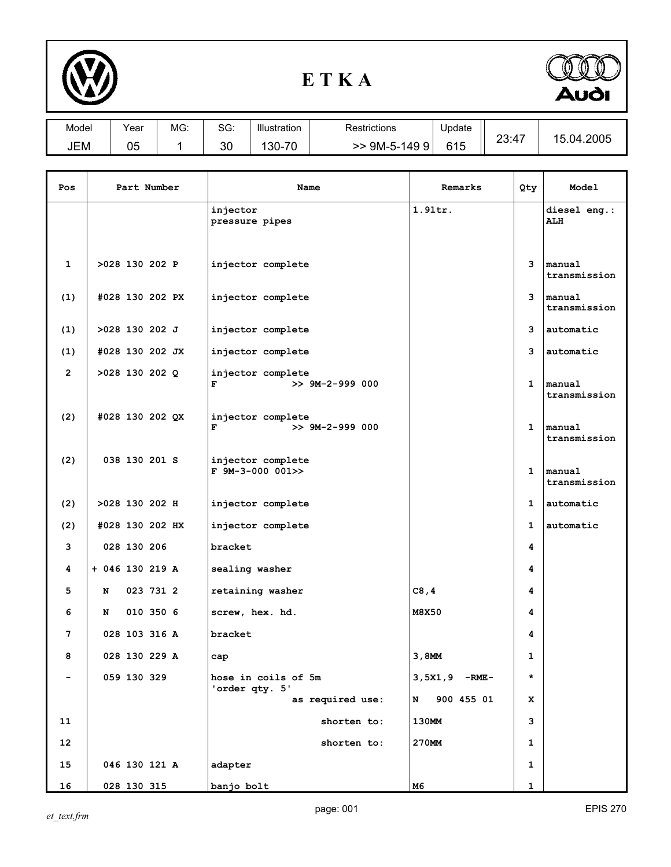

## **E T K A**



| Model | Year | MG: | SG: | Illustration      | Restrictions    | Update | 23.47<br>∠∪.⊤ | 2005<br>∽<br>. 12 |
|-------|------|-----|-----|-------------------|-----------------|--------|---------------|-------------------|
| JEM   | 05   |     | 30  | 70<br>$30-$<br>،∪ | $9M-5-$<br>1499 | 615    |               |                   |

| Pos                      | Part Number      | Name                                        | Remarks         | Qty          | Model                      |
|--------------------------|------------------|---------------------------------------------|-----------------|--------------|----------------------------|
|                          |                  | injector<br>pressure pipes                  | $1.91$ tr.      |              | diesel eng.:<br><b>ALH</b> |
| $\mathbf{1}$             | >028 130 202 P   | injector complete                           |                 | 3            | manual<br>transmission     |
| (1)                      | #028 130 202 PX  | injector complete                           |                 | 3            | manual<br>transmission     |
| (1)                      | $>028$ 130 202 J | injector complete                           |                 | 3            | automatic                  |
| (1)                      | #028 130 202 JX  | injector complete                           |                 | 3            | automatic                  |
| $\mathbf{2}$             | >028 130 202 Q   | injector complete<br>F<br>$>> 9M-2-999 000$ |                 | $\mathbf{1}$ | manual<br>transmission     |
| (2)                      | #028 130 202 QX  | injector complete<br>F<br>$>> 9M-2-999000$  |                 | $\mathbf{1}$ | manual<br>transmission     |
| (2)                      | 038 130 201 S    | injector complete<br>$F$ 9M-3-000 001>>     |                 | $\mathbf{1}$ | manual<br>transmission     |
| (2)                      | >028 130 202 H   | injector complete                           |                 | 1            | automatic                  |
| (2)                      | #028 130 202 HX  | injector complete                           |                 | 1            | automatic                  |
| 3                        | 028 130 206      | bracket                                     |                 | 4            |                            |
| 4                        | + 046 130 219 A  | sealing washer                              |                 | 4            |                            |
| 5                        | 023 731 2<br>N   | retaining washer                            | C8, 4           | 4            |                            |
| 6                        | 010 350 6<br>N   | screw, hex. hd.                             | M8X50           | 4            |                            |
| 7                        | 028 103 316 A    | bracket                                     |                 | 4            |                            |
| 8                        | 028 130 229 A    | cap                                         | 3,8MM           | $\mathbf{1}$ |                            |
| $\overline{\phantom{0}}$ | 059 130 329      | hose in coils of 5m<br>'order qty. 5'       | $3,5x1,9$ -RME- | $\star$      |                            |
|                          |                  | as required use:                            | 900 455 01<br>N | x            |                            |
| 11                       |                  | shorten to:                                 | 130MM           | 3            |                            |
| 12                       |                  | shorten to:                                 | 270MM           | 1            |                            |
| 15                       | 046 130 121 A    | adapter                                     |                 | 1            |                            |
| 16                       | 028 130 315      | banjo bolt                                  | м6              | 1            |                            |